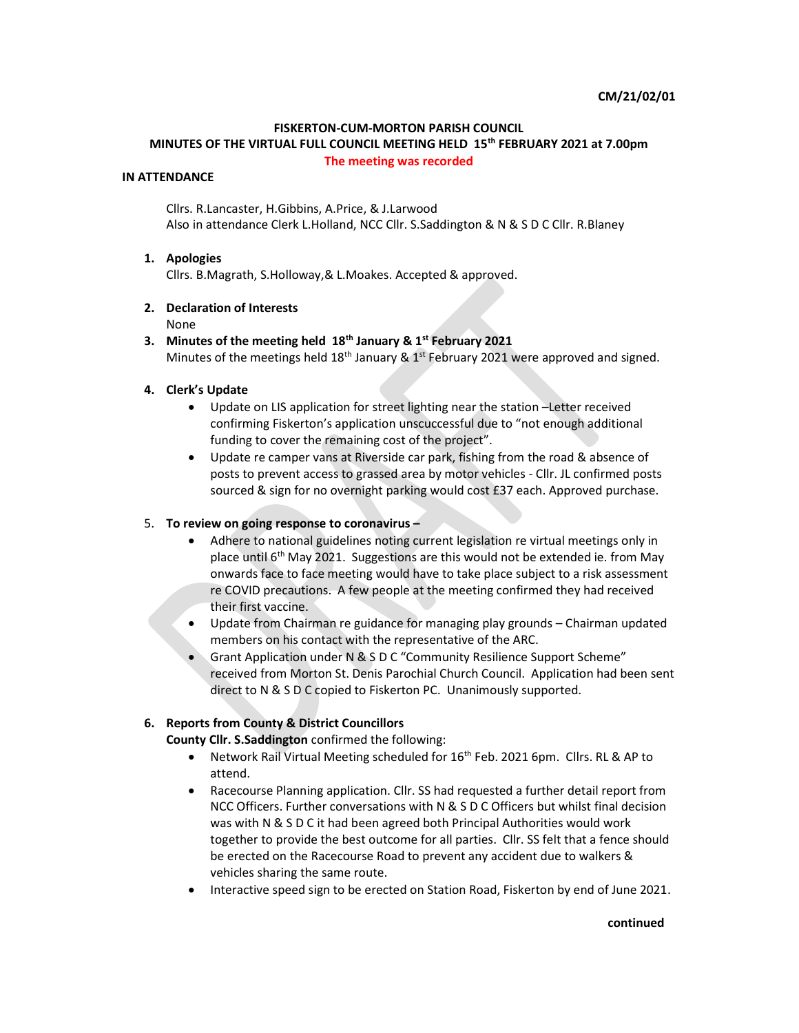#### FISKERTON-CUM-MORTON PARISH COUNCIL

#### MINUTES OF THE VIRTUAL FULL COUNCIL MEETING HELD 15th FEBRUARY 2021 at 7.00pm The meeting was recorded

## IN ATTENDANCE

Cllrs. R.Lancaster, H.Gibbins, A.Price, & J.Larwood Also in attendance Clerk L.Holland, NCC Cllr. S.Saddington & N & S D C Cllr. R.Blaney

#### 1. Apologies

Cllrs. B.Magrath, S.Holloway,& L.Moakes. Accepted & approved.

## 2. Declaration of Interests

None

## 3. Minutes of the meeting held  $18<sup>th</sup>$  January &  $1<sup>st</sup>$  February 2021

Minutes of the meetings held  $18<sup>th</sup>$  January  $8.1<sup>st</sup>$  February 2021 were approved and signed.

#### 4. Clerk's Update

- Update on LIS application for street lighting near the station –Letter received confirming Fiskerton's application unscuccessful due to "not enough additional funding to cover the remaining cost of the project".
- Update re camper vans at Riverside car park, fishing from the road & absence of posts to prevent access to grassed area by motor vehicles - Cllr. JL confirmed posts sourced & sign for no overnight parking would cost £37 each. Approved purchase.

## 5. To review on going response to coronavirus –

- Adhere to national guidelines noting current legislation re virtual meetings only in place until  $6<sup>th</sup>$  May 2021. Suggestions are this would not be extended ie. from May onwards face to face meeting would have to take place subject to a risk assessment re COVID precautions. A few people at the meeting confirmed they had received their first vaccine.
- Update from Chairman re guidance for managing play grounds Chairman updated members on his contact with the representative of the ARC.
- Grant Application under N & S D C "Community Resilience Support Scheme" received from Morton St. Denis Parochial Church Council. Application had been sent direct to N & S D C copied to Fiskerton PC. Unanimously supported.

#### 6. Reports from County & District Councillors

County Cllr. S.Saddington confirmed the following:

- Network Rail Virtual Meeting scheduled for 16<sup>th</sup> Feb. 2021 6pm. Cllrs. RL & AP to attend.
- Racecourse Planning application. Cllr. SS had requested a further detail report from NCC Officers. Further conversations with N & S D C Officers but whilst final decision was with N & S D C it had been agreed both Principal Authorities would work together to provide the best outcome for all parties. Cllr. SS felt that a fence should be erected on the Racecourse Road to prevent any accident due to walkers & vehicles sharing the same route.
- Interactive speed sign to be erected on Station Road, Fiskerton by end of June 2021.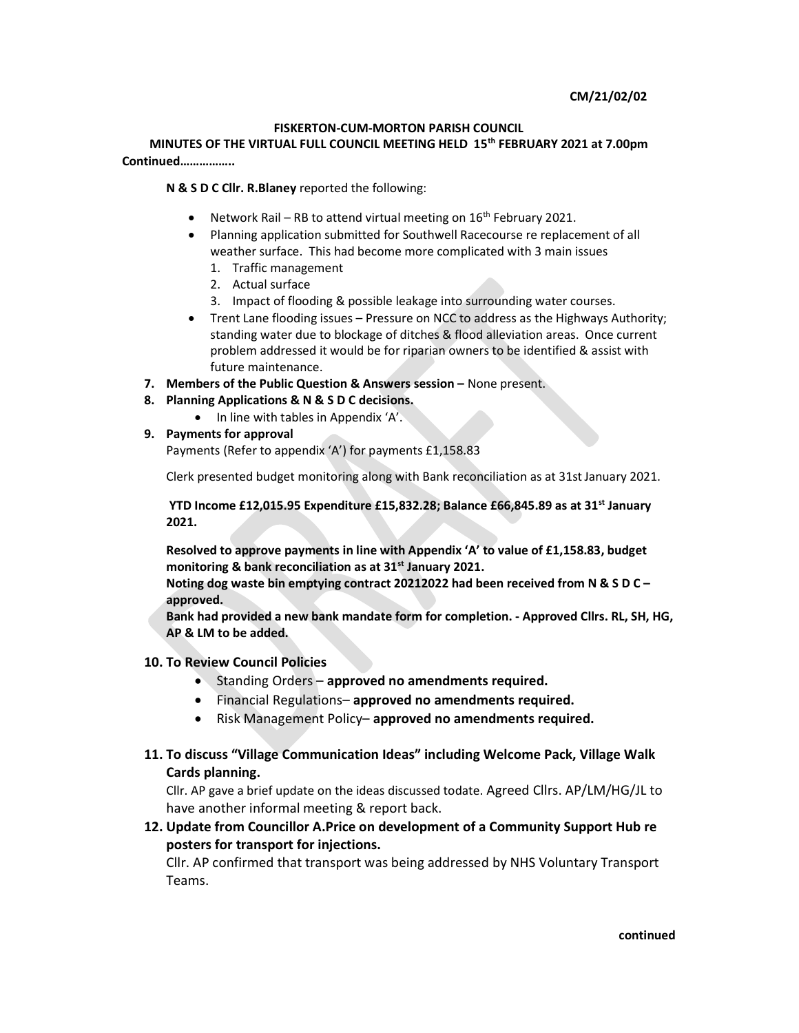## FISKERTON-CUM-MORTON PARISH COUNCIL

MINUTES OF THE VIRTUAL FULL COUNCIL MEETING HELD 15th FEBRUARY 2021 at 7.00pm Continued……………..

#### N & S D C Cllr. R.Blaney reported the following:

- Network Rail RB to attend virtual meeting on  $16<sup>th</sup>$  February 2021.
- Planning application submitted for Southwell Racecourse re replacement of all weather surface. This had become more complicated with 3 main issues
	- 1. Traffic management
	- 2. Actual surface
	- 3. Impact of flooding & possible leakage into surrounding water courses.
- Trent Lane flooding issues Pressure on NCC to address as the Highways Authority; standing water due to blockage of ditches & flood alleviation areas. Once current problem addressed it would be for riparian owners to be identified & assist with future maintenance.
- 7. Members of the Public Question & Answers session None present.
- 8. Planning Applications & N & S D C decisions.
	- $\bullet$  In line with tables in Appendix 'A'.
- 9. Payments for approval

Payments (Refer to appendix 'A') for payments £1,158.83

Clerk presented budget monitoring along with Bank reconciliation as at 31st January 2021.

YTD Income £12,015.95 Expenditure £15,832.28; Balance £66,845.89 as at 31<sup>st</sup> January 2021.

Resolved to approve payments in line with Appendix 'A' to value of £1,158.83, budget monitoring & bank reconciliation as at 31<sup>st</sup> January 2021.

Noting dog waste bin emptying contract 20212022 had been received from N & S D C – approved.

Bank had provided a new bank mandate form for completion. - Approved Cllrs. RL, SH, HG, AP & LM to be added.

## 10. To Review Council Policies

- Standing Orders approved no amendments required.
- Financial Regulations– approved no amendments required.
- Risk Management Policy– approved no amendments required.

# 11. To discuss "Village Communication Ideas" including Welcome Pack, Village Walk Cards planning.

Cllr. AP gave a brief update on the ideas discussed todate. Agreed Cllrs. AP/LM/HG/JL to have another informal meeting & report back.

# 12. Update from Councillor A.Price on development of a Community Support Hub re posters for transport for injections.

Cllr. AP confirmed that transport was being addressed by NHS Voluntary Transport Teams.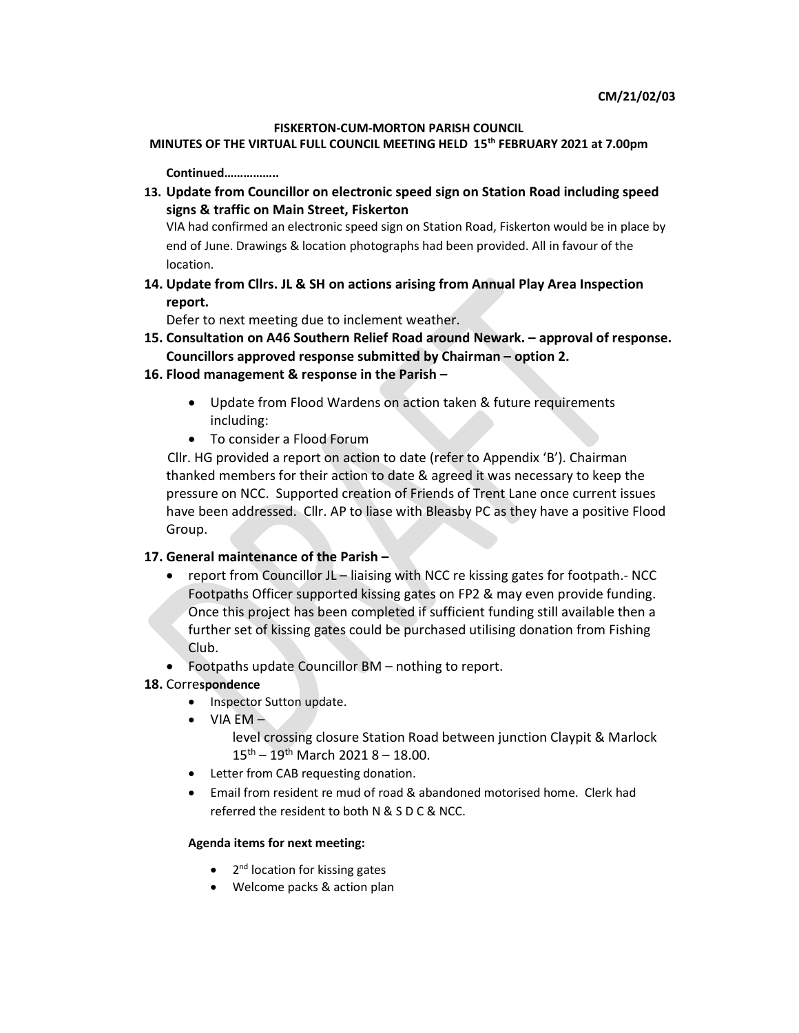#### FISKERTON-CUM-MORTON PARISH COUNCIL

## MINUTES OF THE VIRTUAL FULL COUNCIL MEETING HELD 15th FEBRUARY 2021 at 7.00pm

Continued……………..

13. Update from Councillor on electronic speed sign on Station Road including speed signs & traffic on Main Street, Fiskerton

VIA had confirmed an electronic speed sign on Station Road, Fiskerton would be in place by end of June. Drawings & location photographs had been provided. All in favour of the location.

14. Update from Cllrs. JL & SH on actions arising from Annual Play Area Inspection report.

Defer to next meeting due to inclement weather.

- 15. Consultation on A46 Southern Relief Road around Newark. approval of response. Councillors approved response submitted by Chairman – option 2.
- 16. Flood management & response in the Parish
	- Update from Flood Wardens on action taken & future requirements including:
	- To consider a Flood Forum

 Cllr. HG provided a report on action to date (refer to Appendix 'B'). Chairman thanked members for their action to date & agreed it was necessary to keep the pressure on NCC. Supported creation of Friends of Trent Lane once current issues have been addressed. Cllr. AP to liase with Bleasby PC as they have a positive Flood Group.

#### 17. General maintenance of the Parish –

- report from Councillor JL liaising with NCC re kissing gates for footpath.- NCC Footpaths Officer supported kissing gates on FP2 & may even provide funding. Once this project has been completed if sufficient funding still available then a further set of kissing gates could be purchased utilising donation from Fishing Club.
- Footpaths update Councillor BM nothing to report.

## 18. Correspondence

- Inspector Sutton update.
- $\bullet$  VIA EM  $-$

level crossing closure Station Road between junction Claypit & Marlock  $15^{th}$  –  $19^{th}$  March 2021 8 – 18.00.

- **•** Letter from CAB requesting donation.
- Email from resident re mud of road & abandoned motorised home. Clerk had referred the resident to both N & S D C & NCC.

#### Agenda items for next meeting:

- 2<sup>nd</sup> location for kissing gates
- Welcome packs & action plan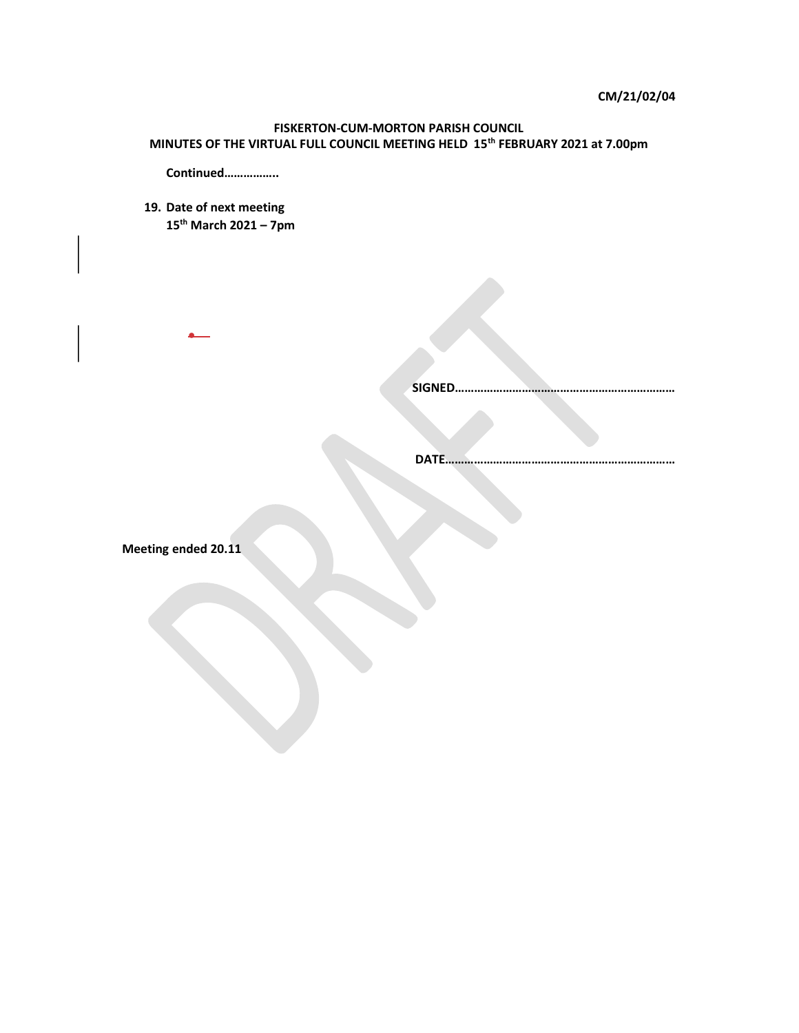## FISKERTON-CUM-MORTON PARISH COUNCIL MINUTES OF THE VIRTUAL FULL COUNCIL MEETING HELD 15th FEBRUARY 2021 at 7.00pm

Continued……………..

19. Date of next meeting 15th March 2021 – 7pm

 $\bullet$ 

SIGNED……………………………………………………………

DATE………………………………………………………………

Meeting ended 20.11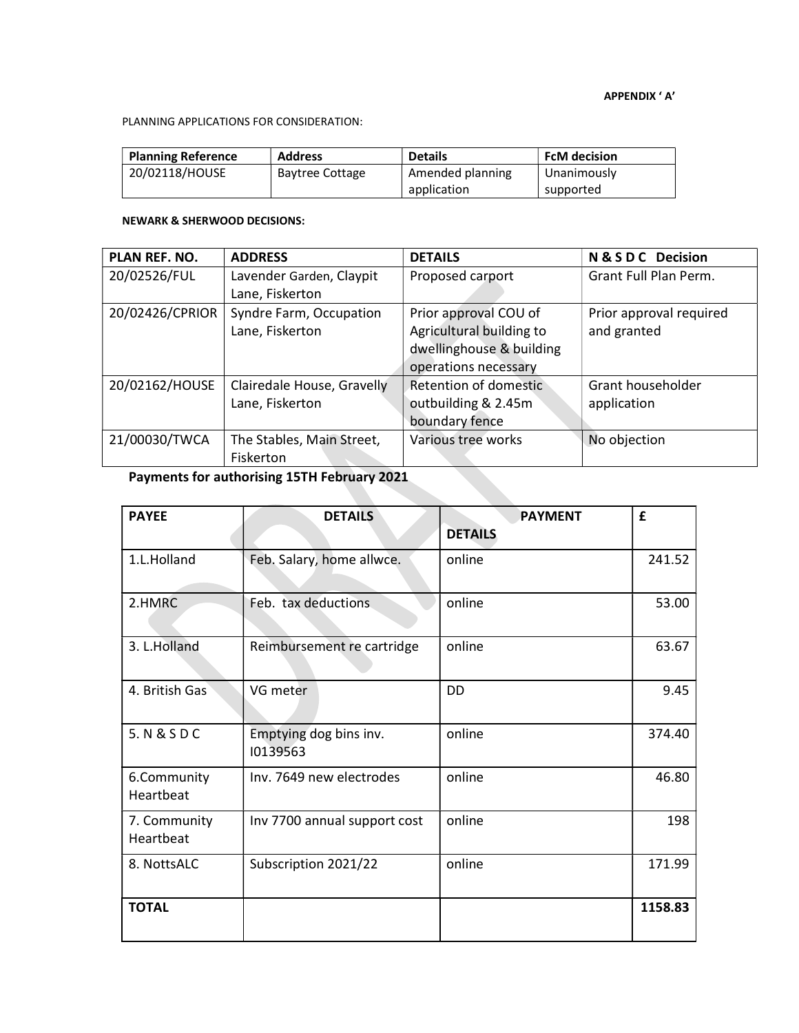## APPENDIX ' A'

## PLANNING APPLICATIONS FOR CONSIDERATION:

| Planning Reference | <b>Address</b>         | <b>Details</b>   | <b>FcM</b> decision |
|--------------------|------------------------|------------------|---------------------|
| 20/02118/HOUSE     | <b>Baytree Cottage</b> | Amended planning | Unanimously         |
|                    |                        | application      | supported           |

#### NEWARK & SHERWOOD DECISIONS:

| PLAN REF. NO.   | <b>ADDRESS</b>             | <b>DETAILS</b>           | N & S D C Decision      |
|-----------------|----------------------------|--------------------------|-------------------------|
| 20/02526/FUL    | Lavender Garden, Claypit   | Proposed carport         | Grant Full Plan Perm.   |
|                 | Lane, Fiskerton            |                          |                         |
| 20/02426/CPRIOR | Syndre Farm, Occupation    | Prior approval COU of    | Prior approval required |
|                 | Lane, Fiskerton            | Agricultural building to | and granted             |
|                 |                            | dwellinghouse & building |                         |
|                 |                            | operations necessary     |                         |
| 20/02162/HOUSE  | Clairedale House, Gravelly | Retention of domestic    | Grant householder       |
|                 | Lane, Fiskerton            | outbuilding & 2.45m      | application             |
|                 |                            | boundary fence           |                         |
| 21/00030/TWCA   | The Stables, Main Street,  | Various tree works       | No objection            |
|                 | Fiskerton                  |                          |                         |

# Payments for authorising 15TH February 2021

| <b>PAYEE</b>              | <b>DETAILS</b>                     | <b>PAYMENT</b> | £       |
|---------------------------|------------------------------------|----------------|---------|
|                           |                                    | <b>DETAILS</b> |         |
| 1.L.Holland               | Feb. Salary, home allwce.          | online         | 241.52  |
| 2.HMRC                    | Feb. tax deductions                | online         | 53.00   |
| 3. L.Holland              | Reimbursement re cartridge         | online         | 63.67   |
| 4. British Gas            | VG meter                           | <b>DD</b>      | 9.45    |
| 5. N & S D C              | Emptying dog bins inv.<br>10139563 | online         | 374.40  |
| 6.Community<br>Heartbeat  | Inv. 7649 new electrodes           | online         | 46.80   |
| 7. Community<br>Heartbeat | Inv 7700 annual support cost       | online         | 198     |
| 8. NottsALC               | Subscription 2021/22               | online         | 171.99  |
| <b>TOTAL</b>              |                                    |                | 1158.83 |